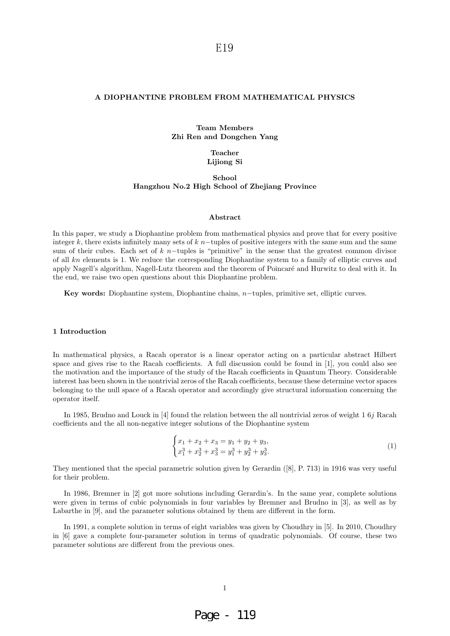#### **A DIOPHANTINE PROBLEM FROM MATHEMATICAL PHYSICS**

## **Team Members Zhi Ren and Dongchen Yang**

**Teacher Lijiong Si**

## **School Hangzhou No.2 High School of Zhejiang Province**

#### **Abstract**

In this paper, we study a Diophantine problem from mathematical physics and prove that for every positive integer k, there exists infinitely many sets of  $k$  n−tuples of positive integers with the same sum and the same sum of their cubes. Each set of k n−tuples is "primitive" in the sense that the greatest common divisor of all kn elements is 1. We reduce the corresponding Diophantine system to a family of elliptic curves and apply Nagell's algorithm, Nagell-Lutz theorem and the theorem of Poincaré and Hurwitz to deal with it. In the end, we raise two open questions about this Diophantine problem.

**Key words:** Diophantine system, Diophantine chains, n−tuples, primitive set, elliptic curves.

#### **1 Introduction**

In mathematical physics, a Racah operator is a linear operator acting on a particular abstract Hilbert space and gives rise to the Racah coefficients. A full discussion could be found in [1], you could also see the motivation and the importance of the study of the Racah coefficients in Quantum Theory. Considerable interest has been shown in the nontrivial zeros of the Racah coefficients, because these determine vector spaces belonging to the null space of a Racah operator and accordingly give structural information concerning the operator itself.

In 1985, Brudno and Louck in [4] found the relation between the all nontrivial zeros of weight 1 6j Racah coefficients and the all non-negative integer solutions of the Diophantine system

$$
\begin{cases}\nx_1 + x_2 + x_3 = y_1 + y_2 + y_3, \\
x_1^3 + x_2^3 + x_3^3 = y_1^3 + y_2^3 + y_3^3.\n\end{cases}
$$
\n(1)

They mentioned that the special parametric solution given by Gerardin ([8], P. 713) in 1916 was very useful for their problem.

In 1986, Bremner in [2] got more solutions including Gerardin's. In the same year, complete solutions were given in terms of cubic polynomials in four variables by Bremner and Brudno in [3], as well as by Labarthe in [9], and the parameter solutions obtained by them are different in the form.

In 1991, a complete solution in terms of eight variables was given by Choudhry in [5]. In 2010, Choudhry in [6] gave a complete four-parameter solution in terms of quadratic polynomials. Of course, these two parameter solutions are different from the previous ones.

## 1

# Page - 119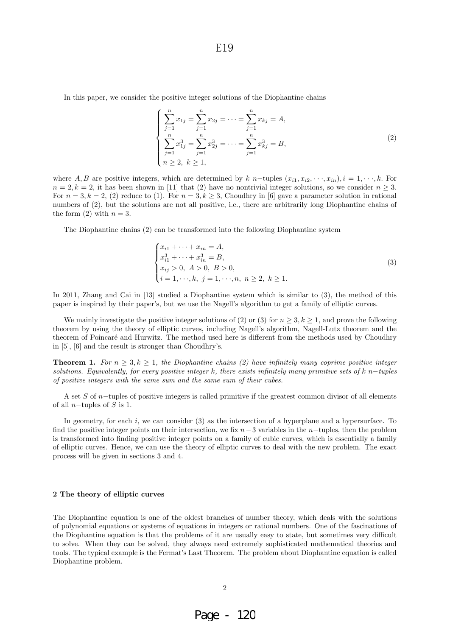In this paper, we consider the positive integer solutions of the Diophantine chains

$$
\begin{cases}\n\sum_{j=1}^{n} x_{1j} = \sum_{j=1}^{n} x_{2j} = \dots = \sum_{j=1}^{n} x_{kj} = A, \\
\sum_{j=1}^{n} x_{1j}^{3} = \sum_{j=1}^{n} x_{2j}^{3} = \dots = \sum_{j=1}^{n} x_{kj}^{3} = B, \\
n \ge 2, \ k \ge 1,\n\end{cases}
$$
\n(2)

where A, B are positive integers, which are determined by k n–tuples  $(x_{i1}, x_{i2}, \dots, x_{in}), i = 1, \dots, k$ . For  $n = 2, k = 2$ , it has been shown in [11] that (2) have no nontrivial integer solutions, so we consider  $n \geq 3$ . For  $n = 3, k = 2, (2)$  reduce to (1). For  $n = 3, k > 3$ , Choudhry in [6] gave a parameter solution in rational numbers of (2), but the solutions are not all positive, i.e., there are arbitrarily long Diophantine chains of the form (2) with  $n = 3$ .

The Diophantine chains (2) can be transformed into the following Diophantine system

$$
\begin{cases}\nx_{i1} + \cdots + x_{in} = A, \\
x_{i1}^3 + \cdots + x_{in}^3 = B, \\
x_{ij} > 0, \ A > 0, \ B > 0, \\
i = 1, \dots, k, \ j = 1, \dots, n, \ n \ge 2, \ k \ge 1.\n\end{cases}
$$
\n(3)

In 2011, Zhang and Cai in [13] studied a Diophantine system which is similar to (3), the method of this paper is inspired by their paper's, but we use the Nagell's algorithm to get a family of elliptic curves.

We mainly investigate the positive integer solutions of (2) or (3) for  $n \geq 3, k \geq 1$ , and prove the following theorem by using the theory of elliptic curves, including Nagell's algorithm, Nagell-Lutz theorem and the theorem of Poincaré and Hurwitz. The method used here is different from the methods used by Choudhry in [5], [6] and the result is stronger than Choudhry's.

**Theorem 1.** For  $n > 3, k > 1$ , the Diophantine chains (2) have infinitely many coprime positive integer solutions. Equivalently, for every positive integer k, there exists infinitely many primitive sets of k n–tuples of positive integers with the same sum and the same sum of their cubes.

A set S of n−tuples of positive integers is called primitive if the greatest common divisor of all elements of all *n*−tuples of S is 1.

In geometry, for each  $i$ , we can consider (3) as the intersection of a hyperplane and a hypersurface. To find the positive integer points on their intersection, we fix  $n-3$  variables in the n−tuples, then the problem is transformed into finding positive integer points on a family of cubic curves, which is essentially a family of elliptic curves. Hence, we can use the theory of elliptic curves to deal with the new problem. The exact process will be given in sections 3 and 4.

#### **2 The theory of elliptic curves**

The Diophantine equation is one of the oldest branches of number theory, which deals with the solutions of polynomial equations or systems of equations in integers or rational numbers. One of the fascinations of the Diophantine equation is that the problems of it are usually easy to state, but sometimes very difficult to solve. When they can be solved, they always need extremely sophisticated mathematical theories and tools. The typical example is the Fermat's Last Theorem. The problem about Diophantine equation is called Diophantine problem.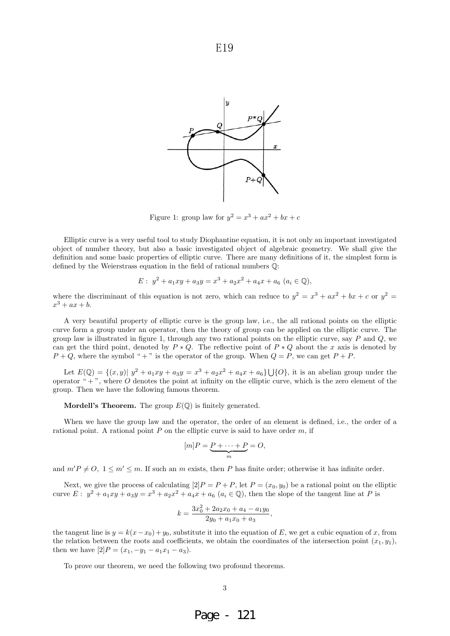

Figure 1: group law for  $y^2 = x^3 + ax^2 + bx + c$ 

Elliptic curve is a very useful tool to study Diophantine equation, it is not only an important investigated object of number theory, but also a basic investigated object of algebraic geometry. We shall give the definition and some basic properties of elliptic curve. There are many definitions of it, the simplest form is defined by the Weierstrass equation in the field of rational numbers Q:

$$
E: y^2 + a_1xy + a_3y = x^3 + a_2x^2 + a_4x + a_6 \ (a_i \in \mathbb{Q}),
$$

where the discriminant of this equation is not zero, which can reduce to  $y^2 = x^3 + ax^2 + bx + c$  or  $y^2 =$  $x^3 + ax + b$ .

A very beautiful property of elliptic curve is the group law, i.e., the all rational points on the elliptic curve form a group under an operator, then the theory of group can be applied on the elliptic curve. The group law is illustrated in figure 1, through any two rational points on the elliptic curve, say  $P$  and  $Q$ , we can get the third point, denoted by  $P * Q$ . The reflective point of  $P * Q$  about the x axis is denoted by  $P + Q$ , where the symbol " + " is the operator of the group. When  $Q = P$ , we can get  $P + P$ .

Let  $E(\mathbb{Q}) = \{(x, y) | y^2 + a_1xy + a_3y = x^3 + a_2x^2 + a_4x + a_6\} \cup \{O\}$ , it is an abelian group under the operator " $+$ ", where  $\overline{O}$  denotes the point at infinity on the elliptic curve, which is the zero element of the group. Then we have the following famous theorem.

**Mordell's Theorem.** The group  $E(\mathbb{Q})$  is finitely generated.

When we have the group law and the operator, the order of an element is defined, i.e., the order of a rational point. A rational point  $P$  on the elliptic curve is said to have order  $m$ , if

$$
[m]P = \underbrace{P + \cdots + P}_{m} = O,
$$

and  $m'P \neq O, 1 \leq m' \leq m$ . If such an m exists, then P has finite order; otherwise it has infinite order.

Next, we give the process of calculating  $[2]P = P + P$ , let  $P = (x_0, y_0)$  be a rational point on the elliptic curve  $E: y^2 + a_1xy + a_3y = x^3 + a_2x^2 + a_4x + a_6$   $(a_i \in \mathbb{Q})$ , then the slope of the tangent line at P is

$$
k = \frac{3x_0^2 + 2a_2x_0 + a_4 - a_1y_0}{2y_0 + a_1x_0 + a_3},
$$

the tangent line is  $y = k(x-x_0) + y_0$ , substitute it into the equation of E, we get a cubic equation of x, from the relation between the roots and coefficients, we obtain the coordinates of the intersection point  $(x_1, y_1)$ , then we have  $[2]P = (x_1, -y_1 - a_1x_1 - a_3).$ 

To prove our theorem, we need the following two profound theorems.

Page - 121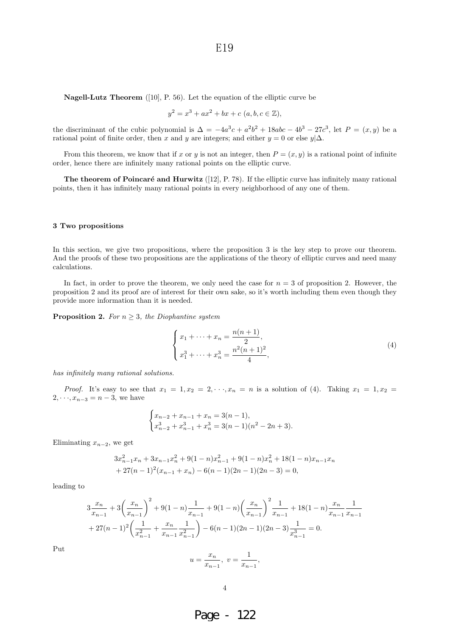**Nagell-Lutz Theorem** ([10], P. 56). Let the equation of the elliptic curve be

$$
y^2 = x^3 + ax^2 + bx + c \ (a, b, c \in \mathbb{Z}),
$$

the discriminant of the cubic polynomial is  $\Delta = -4a^3c + a^2b^2 + 18abc - 4b^3 - 27c^3$ , let  $P = (x, y)$  be a rational point of finite order, then x and y are integers; and either  $y = 0$  or else  $y|\Delta$ .

From this theorem, we know that if x or y is not an integer, then  $P = (x, y)$  is a rational point of infinite order, hence there are infinitely many rational points on the elliptic curve.

**The theorem of Poincaré and Hurwitz** ([12], P. 78). If the elliptic curve has infinitely many rational points, then it has infinitely many rational points in every neighborhood of any one of them.

#### **3 Two propositions**

In this section, we give two propositions, where the proposition 3 is the key step to prove our theorem. And the proofs of these two propositions are the applications of the theory of elliptic curves and need many calculations.

In fact, in order to prove the theorem, we only need the case for  $n = 3$  of proposition 2. However, the proposition 2 and its proof are of interest for their own sake, so it's worth including them even though they provide more information than it is needed.

**Proposition 2.** For  $n \geq 3$ , the Diophantine system

$$
\begin{cases}\n x_1 + \dots + x_n = \frac{n(n+1)}{2}, \\
 x_1^3 + \dots + x_n^3 = \frac{n^2(n+1)^2}{4},\n\end{cases}
$$
\n(4)

has infinitely many rational solutions.

*Proof.* It's easy to see that  $x_1 = 1, x_2 = 2, \dots, x_n = n$  is a solution of (4). Taking  $x_1 = 1, x_2 =$  $2, \dots, x_{n-3} = n-3$ , we have

$$
\begin{cases} x_{n-2} + x_{n-1} + x_n = 3(n-1), \\ x_{n-2}^3 + x_{n-1}^3 + x_n^3 = 3(n-1)(n^2 - 2n + 3). \end{cases}
$$

Eliminating  $x_{n-2}$ , we get

$$
3x_{n-1}^2x_n + 3x_{n-1}x_n^2 + 9(1-n)x_{n-1}^2 + 9(1-n)x_n^2 + 18(1-n)x_{n-1}x_n
$$
  
+ 27(n - 1)<sup>2</sup>(x<sub>n-1</sub> + x<sub>n</sub>) - 6(n - 1)(2n - 1)(2n - 3) = 0,

leading to

$$
3\frac{x_n}{x_{n-1}} + 3\left(\frac{x_n}{x_{n-1}}\right)^2 + 9(1-n)\frac{1}{x_{n-1}} + 9(1-n)\left(\frac{x_n}{x_{n-1}}\right)^2 \frac{1}{x_{n-1}} + 18(1-n)\frac{x_n}{x_{n-1}}\frac{1}{x_{n-1}}
$$
  
+ 27(n-1)<sup>2</sup> $\left(\frac{1}{x_{n-1}^2} + \frac{x_n}{x_{n-1}}\frac{1}{x_{n-1}^2}\right) - 6(n-1)(2n-1)(2n-3)\frac{1}{x_{n-1}^3} = 0.$   

$$
u = \frac{x_n}{x_{n-1}}, \ v = \frac{1}{x_{n-1}},
$$

Put

$$
4\phantom{.0}
$$

 $x_{n-1}$ 

Page - 122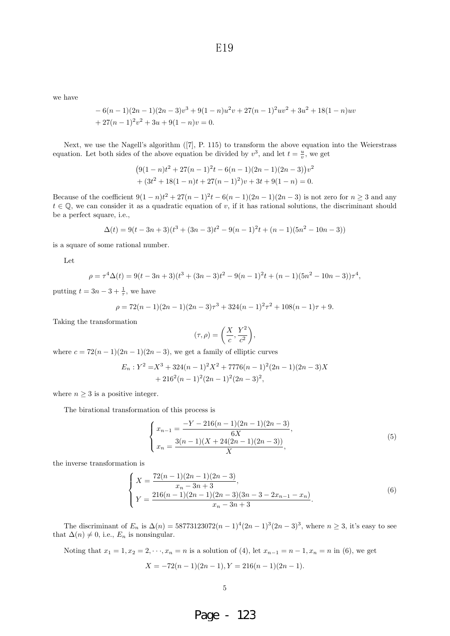we have

$$
-6(n-1)(2n-1)(2n-3)v3 + 9(1-n)u2v + 27(n-1)2uv2 + 3u2 + 18(1-n)uv + 27(n-1)2v2 + 3u + 9(1-n)v = 0.
$$

Next, we use the Nagell's algorithm ([7], P. 115) to transform the above equation into the Weierstrass equation. Let both sides of the above equation be divided by  $v^3$ , and let  $t = \frac{u}{v}$ , we get

$$
(9(1-n)t2 + 27(n - 1)2t – 6(n - 1)(2n - 1)(2n - 3))v2+ (3t2 + 18(1 - n)t + 27(n - 1)2)v + 3t + 9(1 - n) = 0.
$$

Because of the coefficient  $9(1 - n)t^2 + 27(n - 1)^2t - 6(n - 1)(2n - 1)(2n - 3)$  is not zero for  $n \ge 3$  and any  $t \in \mathbb{Q}$ , we can consider it as a quadratic equation of v, if it has rational solutions, the discriminant should be a perfect square, i.e.,

$$
\Delta(t) = 9(t - 3n + 3)(t^3 + (3n - 3)t^2 - 9(n - 1)^2t + (n - 1)(5n^2 - 10n - 3))
$$

is a square of some rational number.

Let

$$
\rho = \tau^4 \Delta(t) = 9(t - 3n + 3)(t^3 + (3n - 3)t^2 - 9(n - 1)^2 t + (n - 1)(5n^2 - 10n - 3))\tau^4,
$$

putting  $t = 3n - 3 + \frac{1}{\tau}$ , we have

$$
\rho = 72(n-1)(2n-1)(2n-3)\tau^3 + 324(n-1)^2\tau^2 + 108(n-1)\tau + 9.
$$

Taking the transformation

$$
(\tau,\rho) = \left(\frac{X}{c}, \frac{Y^2}{c^2}\right),\,
$$

where  $c = 72(n-1)(2n-1)(2n-3)$ , we get a family of elliptic curves

$$
E_n: Y^2 = X^3 + 324(n-1)^2 X^2 + 7776(n-1)^2 (2n-1)(2n-3)X
$$
  
+ 216<sup>2</sup>(n-1)<sup>2</sup>(2n-1)<sup>2</sup>(2n-3)<sup>2</sup>,

where  $n \geq 3$  is a positive integer.

The birational transformation of this process is

$$
\begin{cases}\n x_{n-1} = \frac{-Y - 216(n-1)(2n-1)(2n-3)}{6X}, \\
 x_n = \frac{3(n-1)(X + 24(2n-1)(2n-3))}{X},\n\end{cases}
$$
\n(5)

the inverse transformation is

$$
\begin{cases}\nX = \frac{72(n-1)(2n-1)(2n-3)}{x_n - 3n + 3}, \\
Y = \frac{216(n-1)(2n-1)(2n-3)(3n-3-2x_{n-1}-x_n)}{x_n - 3n + 3}.\n\end{cases}
$$
\n(6)

The discriminant of  $E_n$  is  $\Delta(n) = 58773123072(n-1)^4(2n-1)^3(2n-3)^3$ , where  $n \ge 3$ , it's easy to see that  $\Delta(n) \neq 0$ , i.e.,  $E_n$  is nonsingular.

Noting that  $x_1 = 1, x_2 = 2, \dots, x_n = n$  is a solution of (4), let  $x_{n-1} = n-1, x_n = n$  in (6), we get  $X = -72(n-1)(2n-1), Y = 216(n-1)(2n-1).$ 

Page - 123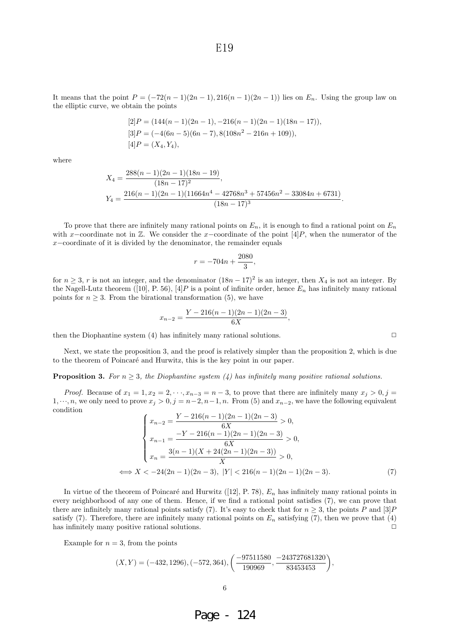It means that the point  $P = (-72(n-1)(2n-1), 216(n-1)(2n-1))$  lies on  $E_n$ . Using the group law on the elliptic curve, we obtain the points

$$
[2]P = (144(n - 1)(2n - 1), -216(n - 1)(2n - 1)(18n - 17)),
$$
  
\n
$$
[3]P = (-4(6n - 5)(6n - 7), 8(108n^2 - 216n + 109)),
$$
  
\n
$$
[4]P = (X_4, Y_4),
$$

where

$$
X_4 = \frac{288(n-1)(2n-1)(18n-19)}{(18n-17)^2},
$$
  
\n
$$
Y_4 = \frac{216(n-1)(2n-1)(11664n^4 - 42768n^3 + 57456n^2 - 33084n + 6731)}{(18n-17)^3}.
$$

To prove that there are infinitely many rational points on  $E_n$ , it is enough to find a rational point on  $E_n$ with x–coordinate not in  $\mathbb{Z}$ . We consider the x–coordinate of the point [4]P, when the numerator of the  $x$ −coordinate of it is divided by the denominator, the remainder equals

$$
r = -704n + \frac{2080}{3},
$$

for  $n \geq 3$ , r is not an integer, and the denominator  $(18n - 17)^2$  is an integer, then  $X_4$  is not an integer. By the Nagell-Lutz theorem ([10], P. 56), [4] P is a point of infinite order, hence  $E_n$  has infinitely many rational points for  $n \geq 3$ . From the birational transformation (5), we have

$$
x_{n-2} = \frac{Y - 216(n-1)(2n-1)(2n-3)}{6X},
$$

then the Diophantine system (4) has infinitely many rational solutions.  $\Box$ 

Next, we state the proposition 3, and the proof is relatively simpler than the proposition 2, which is due to the theorem of Poincaré and Hurwitz, this is the key point in our paper.

**Proposition 3.** For  $n \geq 3$ , the Diophantine system (4) has infinitely many positive rational solutions.

*Proof.* Because of  $x_1 = 1, x_2 = 2, \dots, x_{n-3} = n-3$ , to prove that there are infinitely many  $x_j > 0, j =$  $1, \dots, n$ , we only need to prove  $x_j > 0, j = n-2, n-1, n$ . From (5) and  $x_{n-2}$ , we have the following equivalent condition

$$
\begin{cases}\n x_{n-2} = \frac{Y - 216(n-1)(2n-1)(2n-3)}{6X} > 0, \\
 x_{n-1} = \frac{-Y - 216(n-1)(2n-1)(2n-3)}{6X} > 0, \\
 x_n = \frac{3(n-1)(X + 24(2n-1)(2n-3))}{X} > 0, \\
 \Longleftrightarrow X < -24(2n-1)(2n-3), |Y| < 216(n-1)(2n-1)(2n-3).\n\end{cases}
$$
\n(7)

In virtue of the theorem of Poincaré and Hurwitz ([12], P. 78),  $E_n$  has infinitely many rational points in every neighborhood of any one of them. Hence, if we find a rational point satisfies (7), we can prove that there are infinitely many rational points satisfy (7). It's easy to check that for  $n \geq 3$ , the points P and [3]P satisfy (7). Therefore, there are infinitely many rational points on  $E_n$  satisfying (7), then we prove that (4) has infinitely many positive rational solutions.  $\Box$ 

Example for  $n = 3$ , from the points

$$
(X,Y) = (-432, 1296), (-572, 364), \left(\frac{-97511580}{190969}, \frac{-243727681320}{83453453}\right),
$$

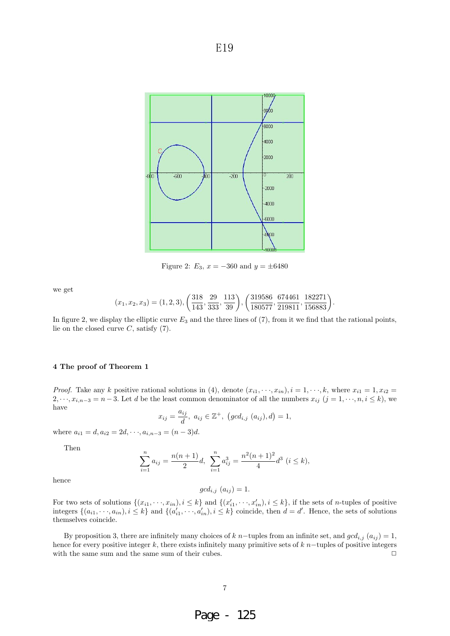

Figure 2:  $E_3$ ,  $x = -360$  and  $y = \pm 6480$ 

we get

$$
(x_1, x_2, x_3) = (1, 2, 3), \left(\frac{318}{143}, \frac{29}{333}, \frac{113}{39}\right), \left(\frac{319586}{180577}, \frac{674461}{219811}, \frac{182271}{156883}\right).
$$

In figure 2, we display the elliptic curve  $E_3$  and the three lines of  $(7)$ , from it we find that the rational points, lie on the closed curve  $C$ , satisfy  $(7)$ .

### **4 The proof of Theorem 1**

*Proof.* Take any k positive rational solutions in (4), denote  $(x_{i1}, \dots, x_{in}), i = 1, \dots, k$ , where  $x_{i1} = 1, x_{i2} =$  $2, \dots, x_{i,n-3} = n-3$ . Let d be the least common denominator of all the numbers  $x_{ij}$   $(j = 1, \dots, n, i \leq k)$ , we have

$$
x_{ij} = \frac{a_{ij}}{d}, \ a_{ij} \in \mathbb{Z}^+, \ (gcd_{i,j} (a_{ij}), d) = 1,
$$

where  $a_{i1} = d, a_{i2} = 2d, \dots, a_{i,n-3} = (n-3)d$ .

Then

$$
\sum_{i=1}^{n} a_{ij} = \frac{n(n+1)}{2}d, \ \sum_{i=1}^{n} a_{ij}^{3} = \frac{n^{2}(n+1)^{2}}{4}d^{3} \ (i \le k),
$$

hence

$$
gcd_{i,j}(a_{ij}) = 1.
$$

For two sets of solutions  $\{(x_{i1}, \dots, x_{in}), i \leq k\}$  and  $\{(x'_{i1}, \dots, x'_{in}), i \leq k\}$ , if the sets of *n*-tuples of positive integers  $\{(a_{i1}, \dots, a_{in}), i \leq k\}$  and  $\{(a'_{i1}, \dots, a'_{in}), i \leq k\}$  coincide, then  $d = d'$ . Hence, the sets of solutions themselves coincide.

By proposition 3, there are infinitely many choices of  $k$  n–tuples from an infinite set, and  $gcd_{i,j}(a_{ij}) = 1$ , hence for every positive integer k, there exists infinitely many primitive sets of k n–tuples of positive integers with the same sum and the same sum of their cubes. with the same sum and the same sum of their cubes.

# 7

Page - 125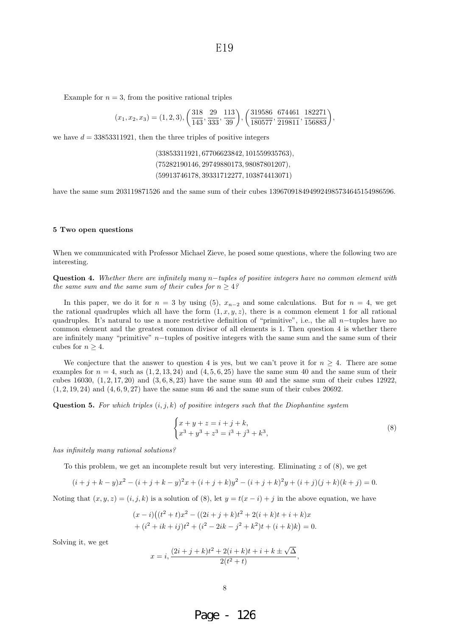Example for  $n = 3$ , from the positive rational triples

$$
(x_1, x_2, x_3) = (1, 2, 3), \left(\frac{318}{143}, \frac{29}{333}, \frac{113}{39}\right), \left(\frac{319586}{180577}, \frac{674461}{219811}, \frac{182271}{156883}\right),
$$

we have  $d = 33853311921$ , then the three triples of positive integers

(33853311921, 67706623842, 101559935763), (75282190146, 29749880173, 98087801207), (59913746178, 39331712277, 103874413071)

have the same sum 203119871526 and the same sum of their cubes 1396709184949924985734645154986596.

#### **5 Two open questions**

When we communicated with Professor Michael Zieve, he posed some questions, where the following two are interesting.

Question 4. Whether there are infinitely many n−tuples of positive integers have no common element with the same sum and the same sum of their cubes for  $n \geq 4$ ?

In this paper, we do it for  $n = 3$  by using (5),  $x_{n-2}$  and some calculations. But for  $n = 4$ , we get the rational quadruples which all have the form  $(1, x, y, z)$ , there is a common element 1 for all rational quadruples. It's natural to use a more restrictive definition of "primitive", i.e., the all n-tuples have no common element and the greatest common divisor of all elements is 1. Then question 4 is whether there are infinitely many "primitive" n−tuples of positive integers with the same sum and the same sum of their cubes for  $n \geq 4$ .

We conjecture that the answer to question 4 is yes, but we can't prove it for  $n \geq 4$ . There are some examples for  $n = 4$ , such as  $(1, 2, 13, 24)$  and  $(4, 5, 6, 25)$  have the same sum 40 and the same sum of their cubes 16030,  $(1, 2, 17, 20)$  and  $(3, 6, 8, 23)$  have the same sum 40 and the same sum of their cubes 12922,  $(1, 2, 19, 24)$  and  $(4, 6, 9, 27)$  have the same sum 46 and the same sum of their cubes 20692.

**Question 5.** For which triples  $(i, j, k)$  of positive integers such that the Diophantine system

$$
\begin{cases} x + y + z = i + j + k, \\ x^3 + y^3 + z^3 = i^3 + j^3 + k^3, \end{cases}
$$
 (8)

has infinitely many rational solutions?

To this problem, we get an incomplete result but very interesting. Eliminating  $z$  of  $(8)$ , we get

$$
(i+j+k-y)x^{2} - (i+j+k-y)^{2}x + (i+j+k)y^{2} - (i+j+k)^{2}y + (i+j)(j+k)(k+j) = 0.
$$

Noting that  $(x, y, z)=(i, j, k)$  is a solution of (8), let  $y = t(x - i) + j$  in the above equation, we have

$$
(x-i)((t2 + t)x2 - ((2i + j + k)t2 + 2(i + k)t + i + k)x + (i2 + ik + ij)t2 + (i2 - 2ik - j2 + k2)t + (i + k)k) = 0.
$$

Solving it, we get

$$
x = i, \frac{(2i + j + k)t^2 + 2(i + k)t + i + k \pm \sqrt{\Delta}}{2(t^2 + t)},
$$

Page - 126

8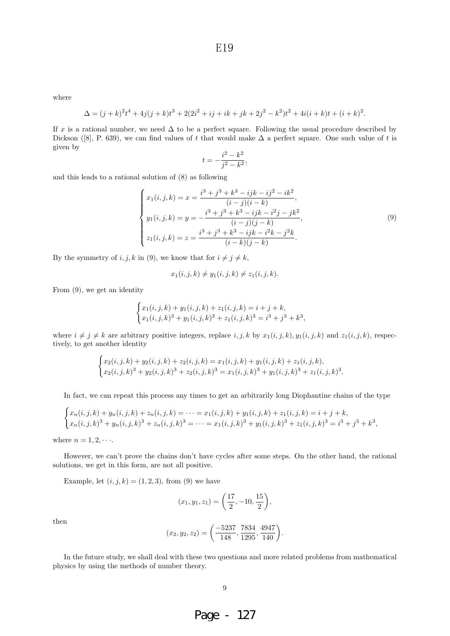where

$$
\Delta = (j+k)^2 t^4 + 4j(j+k)t^3 + 2(2i^2 + ij + ik + jk + 2j^2 - k^2)t^2 + 4i(i+k)t + (i+k)^2.
$$

If x is a rational number, we need  $\Delta$  to be a perfect square. Following the usual procedure described by Dickson ([8], P. 639), we can find values of t that would make  $\Delta$  a perfect square. One such value of t is given by

$$
t = -\frac{i^2 - k^2}{j^2 - k^2},
$$

and this leads to a rational solution of (8) as following

$$
\begin{cases}\nx_1(i,j,k) = x = \frac{i^3 + j^3 + k^3 - ijk - i j^2 - ik^2}{(i-j)(i-k)},\\
y_1(i,j,k) = y = -\frac{i^3 + j^3 + k^3 - ijk - i^2j - jk^2}{(i-j)(j-k)},\\
z_1(i,j,k) = z = \frac{i^3 + j^3 + k^3 - ijk - i^2k - j^2k}{(i-k)(j-k)}.\n\end{cases} \tag{9}
$$

By the symmetry of  $i, j, k$  in (9), we know that for  $i \neq j \neq k$ ,

$$
x_1(i, j, k) \neq y_1(i, j, k) \neq z_1(i, j, k).
$$

From (9), we get an identity

$$
\begin{cases} x_1(i,j,k) + y_1(i,j,k) + z_1(i,j,k) = i + j + k, \\ x_1(i,j,k)^3 + y_1(i,j,k)^3 + z_1(i,j,k)^3 = i^3 + j^3 + k^3, \end{cases}
$$

where  $i \neq j \neq k$  are arbitrary positive integers, replace i, j, k by  $x_1(i, j, k)$ ,  $y_1(i, j, k)$  and  $z_1(i, j, k)$ , respectively, to get another identity

$$
\begin{cases} x_2(i,j,k) + y_2(i,j,k) + z_2(i,j,k) = x_1(i,j,k) + y_1(i,j,k) + z_1(i,j,k), \\ x_2(i,j,k)^3 + y_2(i,j,k)^3 + z_2(i,j,k)^3 = x_1(i,j,k)^3 + y_1(i,j,k)^3 + z_1(i,j,k)^3. \end{cases}
$$

In fact, we can repeat this process any times to get an arbitrarily long Diophantine chains of the type

$$
\begin{cases} x_n(i,j,k) + y_n(i,j,k) + z_n(i,j,k) = \dots = x_1(i,j,k) + y_1(i,j,k) + z_1(i,j,k) = i + j + k, \\ x_n(i,j,k)^3 + y_n(i,j,k)^3 + z_n(i,j,k)^3 = \dots = x_1(i,j,k)^3 + y_1(i,j,k)^3 + z_1(i,j,k)^3 = i^3 + j^3 + k^3, \end{cases}
$$

where  $n = 1, 2, \cdots$ .

However, we can't prove the chains don't have cycles after some steps. On the other hand, the rational solutions, we get in this form, are not all positive.

Example, let  $(i, j, k) = (1, 2, 3)$ , from (9) we have

$$
(x_1, y_1, z_1) = \left(\frac{17}{2}, -10, \frac{15}{2}\right),
$$

then

$$
(x_2, y_2, z_2) = \left(\frac{-5237}{148}, \frac{7834}{1295}, \frac{4947}{140}\right).
$$

In the future study, we shall deal with these two questions and more related problems from mathematical physics by using the methods of number theory.

Page - 127